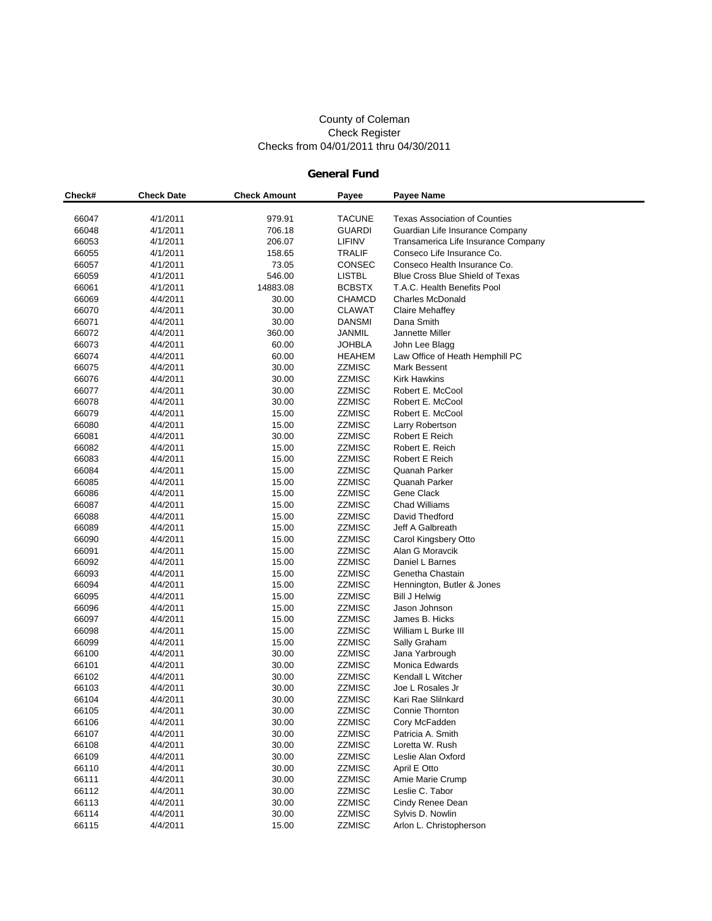#### County of Coleman Check Register Checks from 04/01/2011 thru 04/30/2011

### **General Fund**

| Check# | <b>Check Date</b> | <b>Check Amount</b> | Payee         | <b>Payee Name</b>                    |
|--------|-------------------|---------------------|---------------|--------------------------------------|
|        |                   |                     |               |                                      |
| 66047  | 4/1/2011          | 979.91              | <b>TACUNE</b> | <b>Texas Association of Counties</b> |
| 66048  | 4/1/2011          | 706.18              | <b>GUARDI</b> | Guardian Life Insurance Company      |
| 66053  | 4/1/2011          | 206.07              | LIFINV        | Transamerica Life Insurance Company  |
| 66055  | 4/1/2011          | 158.65              | <b>TRALIF</b> | Conseco Life Insurance Co.           |
| 66057  | 4/1/2011          | 73.05               | CONSEC        | Conseco Health Insurance Co.         |
| 66059  | 4/1/2011          | 546.00              | <b>LISTBL</b> | Blue Cross Blue Shield of Texas      |
| 66061  | 4/1/2011          | 14883.08            | <b>BCBSTX</b> | T.A.C. Health Benefits Pool          |
| 66069  | 4/4/2011          | 30.00               | <b>CHAMCD</b> | <b>Charles McDonald</b>              |
| 66070  | 4/4/2011          | 30.00               | <b>CLAWAT</b> | Claire Mehaffey                      |
| 66071  | 4/4/2011          | 30.00               | <b>DANSMI</b> | Dana Smith                           |
| 66072  | 4/4/2011          | 360.00              | JANMIL        | Jannette Miller                      |
| 66073  | 4/4/2011          | 60.00               | <b>JOHBLA</b> | John Lee Blagg                       |
| 66074  | 4/4/2011          | 60.00               | HEAHEM        | Law Office of Heath Hemphill PC      |
| 66075  | 4/4/2011          | 30.00               | ZZMISC        | Mark Bessent                         |
| 66076  | 4/4/2011          | 30.00               | <b>ZZMISC</b> | <b>Kirk Hawkins</b>                  |
| 66077  | 4/4/2011          | 30.00               | <b>ZZMISC</b> | Robert E. McCool                     |
| 66078  | 4/4/2011          | 30.00               | <b>ZZMISC</b> | Robert E. McCool                     |
| 66079  | 4/4/2011          | 15.00               | <b>ZZMISC</b> | Robert E. McCool                     |
| 66080  | 4/4/2011          | 15.00               | <b>ZZMISC</b> | Larry Robertson                      |
| 66081  | 4/4/2011          | 30.00               | <b>ZZMISC</b> | Robert E Reich                       |
| 66082  | 4/4/2011          | 15.00               | <b>ZZMISC</b> | Robert E. Reich                      |
| 66083  | 4/4/2011          | 15.00               | <b>ZZMISC</b> | Robert E Reich                       |
| 66084  | 4/4/2011          | 15.00               | <b>ZZMISC</b> | Quanah Parker                        |
| 66085  | 4/4/2011          | 15.00               | <b>ZZMISC</b> | Quanah Parker                        |
| 66086  | 4/4/2011          | 15.00               | <b>ZZMISC</b> | Gene Clack                           |
| 66087  | 4/4/2011          | 15.00               | <b>ZZMISC</b> | <b>Chad Williams</b>                 |
| 66088  | 4/4/2011          | 15.00               | <b>ZZMISC</b> | David Thedford                       |
| 66089  | 4/4/2011          | 15.00               | <b>ZZMISC</b> | Jeff A Galbreath                     |
| 66090  | 4/4/2011          | 15.00               | <b>ZZMISC</b> | Carol Kingsbery Otto                 |
| 66091  | 4/4/2011          | 15.00               | <b>ZZMISC</b> | Alan G Moravcik                      |
| 66092  | 4/4/2011          | 15.00               | <b>ZZMISC</b> | Daniel L Barnes                      |
| 66093  | 4/4/2011          | 15.00               | <b>ZZMISC</b> | Genetha Chastain                     |
| 66094  | 4/4/2011          | 15.00               | <b>ZZMISC</b> | Hennington, Butler & Jones           |
| 66095  | 4/4/2011          | 15.00               | <b>ZZMISC</b> | <b>Bill J Helwig</b>                 |
| 66096  | 4/4/2011          | 15.00               | <b>ZZMISC</b> | Jason Johnson                        |
| 66097  | 4/4/2011          | 15.00               | <b>ZZMISC</b> | James B. Hicks                       |
| 66098  | 4/4/2011          | 15.00               | <b>ZZMISC</b> | William L Burke III                  |
| 66099  | 4/4/2011          | 15.00               | <b>ZZMISC</b> | Sally Graham                         |
| 66100  | 4/4/2011          | 30.00               | <b>ZZMISC</b> | Jana Yarbrough                       |
| 66101  | 4/4/2011          | 30.00               | ZZMISC        | Monica Edwards                       |
| 66102  | 4/4/2011          | 30.00               | <b>ZZMISC</b> | Kendall L Witcher                    |
| 66103  | 4/4/2011          | 30.00               | <b>ZZMISC</b> | Joe L Rosales Jr                     |
| 66104  | 4/4/2011          | 30.00               | <b>ZZMISC</b> | Kari Rae Slilnkard                   |
| 66105  | 4/4/2011          | 30.00               | ZZMISC        | Connie Thornton                      |
| 66106  | 4/4/2011          | 30.00               | <b>ZZMISC</b> | Cory McFadden                        |
| 66107  | 4/4/2011          | 30.00               | ZZMISC        | Patricia A. Smith                    |
| 66108  | 4/4/2011          | 30.00               | <b>ZZMISC</b> | Loretta W. Rush                      |
| 66109  | 4/4/2011          | 30.00               | ZZMISC        | Leslie Alan Oxford                   |
| 66110  | 4/4/2011          | 30.00               | <b>ZZMISC</b> | April E Otto                         |
| 66111  | 4/4/2011          | 30.00               | ZZMISC        | Amie Marie Crump                     |
| 66112  | 4/4/2011          | 30.00               | <b>ZZMISC</b> | Leslie C. Tabor                      |
| 66113  | 4/4/2011          | 30.00               | ZZMISC        | Cindy Renee Dean                     |
| 66114  | 4/4/2011          | 30.00               | <b>ZZMISC</b> | Sylvis D. Nowlin                     |
| 66115  | 4/4/2011          | 15.00               | ZZMISC        | Arlon L. Christopherson              |
|        |                   |                     |               |                                      |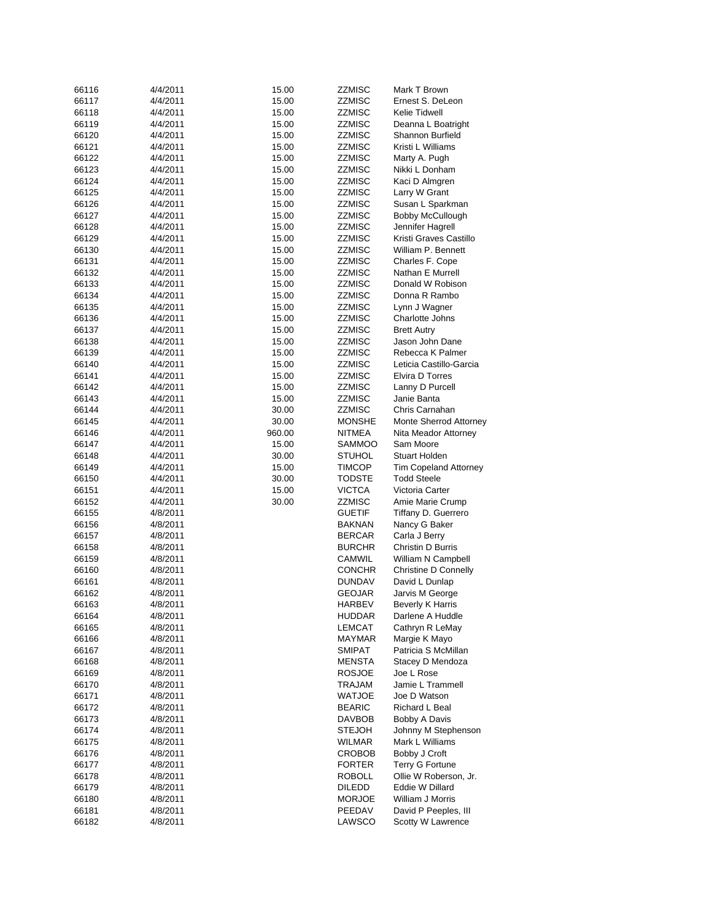| 66116          | 4/4/2011             | 15.00           | ZZMISC           | Mark T Brown                              |
|----------------|----------------------|-----------------|------------------|-------------------------------------------|
| 66117          | 4/4/2011             | 15.00           | ZZMISC           | Ernest S. DeLeon                          |
| 66118          | 4/4/2011             | 15.00           | ZZMISC           | Kelie Tidwell                             |
| 66119          | 4/4/2011             | 15.00           | ZZMISC           | Deanna L Boatright                        |
| 66120          | 4/4/2011             | 15.00           | ZZMISC           | Shannon Burfield                          |
| 66121          | 4/4/2011             | 15.00           | ZZMISC           | Kristi L Williams                         |
| 66122          | 4/4/2011             | 15.00           | ZZMISC           | Marty A. Pugh                             |
| 66123          | 4/4/2011             | 15.00           | ZZMISC           | Nikki L Donham                            |
| 66124          | 4/4/2011             | 15.00           | ZZMISC           | Kaci D Almgren                            |
| 66125          | 4/4/2011             | 15.00           | ZZMISC           | Larry W Grant                             |
| 66126          | 4/4/2011             | 15.00           | ZZMISC           | Susan L Sparkman                          |
| 66127          | 4/4/2011             | 15.00           | ZZMISC           | Bobby McCullough                          |
| 66128          | 4/4/2011             | 15.00           | ZZMISC           | Jennifer Hagrell                          |
| 66129          | 4/4/2011             | 15.00           | ZZMISC           | Kristi Graves Castillo                    |
| 66130          | 4/4/2011             | 15.00           | ZZMISC           | William P. Bennett                        |
| 66131          | 4/4/2011             | 15.00           | ZZMISC           | Charles F. Cope                           |
| 66132          | 4/4/2011             | 15.00           | ZZMISC           | Nathan E Murrell                          |
| 66133          | 4/4/2011             | 15.00           | ZZMISC           | Donald W Robison                          |
| 66134          | 4/4/2011             | 15.00           | ZZMISC           | Donna R Rambo                             |
| 66135          | 4/4/2011             | 15.00           | ZZMISC           | Lynn J Wagner                             |
| 66136          | 4/4/2011             | 15.00           | ZZMISC           | Charlotte Johns                           |
| 66137          | 4/4/2011             | 15.00           | ZZMISC           | <b>Brett Autry</b>                        |
| 66138          | 4/4/2011             | 15.00           | ZZMISC           | Jason John Dane                           |
| 66139          | 4/4/2011             | 15.00           | ZZMISC           | Rebecca K Palmer                          |
| 66140          | 4/4/2011             | 15.00           | ZZMISC           | Leticia Castillo-Garcia                   |
| 66141          | 4/4/2011             | 15.00           | ZZMISC           | Elvira D Torres                           |
| 66142          | 4/4/2011             | 15.00           | ZZMISC           | Lanny D Purcell                           |
| 66143          | 4/4/2011             | 15.00           | <b>ZZMISC</b>    | Janie Banta                               |
| 66144          | 4/4/2011             | 30.00           | <b>ZZMISC</b>    | Chris Carnahan                            |
| 66145          | 4/4/2011             | 30.00           | <b>MONSHE</b>    | Monte Sherrod Attorney                    |
|                | 4/4/2011             |                 | NITMEA           | Nita Meador Attorney                      |
| 66146<br>66147 | 4/4/2011             | 960.00<br>15.00 | SAMMOO           | Sam Moore                                 |
| 66148          | 4/4/2011             | 30.00           | STUHOL           | Stuart Holden                             |
| 66149          | 4/4/2011             |                 | <b>TIMCOP</b>    | <b>Tim Copeland Attorney</b>              |
| 66150          | 4/4/2011             | 15.00           | <b>TODSTE</b>    | <b>Todd Steele</b>                        |
|                |                      | 30.00           |                  | Victoria Carter                           |
| 66151          | 4/4/2011             | 15.00           | VICTCA           |                                           |
| 66152          | 4/4/2011             | 30.00           | ZZMISC           | Amie Marie Crump                          |
| 66155          | 4/8/2011             |                 | <b>GUETIF</b>    | Tiffany D. Guerrero                       |
| 66156          | 4/8/2011             |                 | <b>BAKNAN</b>    | Nancy G Baker                             |
| 66157          | 4/8/2011             |                 | <b>BERCAR</b>    | Carla J Berry                             |
| 66158          | 4/8/2011             |                 | <b>BURCHR</b>    | Christin D Burris                         |
| 66159          | 4/8/2011             |                 | CAMWIL           | William N Campbell                        |
| 66160          | 4/8/2011             |                 | <b>CONCHR</b>    | Christine D Connelly                      |
| 66161          | 4/8/2011             |                 |                  |                                           |
| 66162          |                      |                 | <b>DUNDAV</b>    | David L Dunlap                            |
| 66163          | 4/8/2011             |                 | GEOJAR           | Jarvis M George                           |
|                | 4/8/2011             |                 | HARBEV           | Beverly K Harris                          |
| 66164          | 4/8/2011             |                 | HUDDAR           | Darlene A Huddle                          |
| 66165          | 4/8/2011             |                 | LEMCAT           | Cathryn R LeMay                           |
| 66166          | 4/8/2011             |                 | MAYMAR           | Margie K Mayo                             |
| 66167          | 4/8/2011             |                 | SMIPAT           | Patricia S McMillan                       |
| 66168          | 4/8/2011             |                 | <b>MENSTA</b>    | Stacey D Mendoza                          |
| 66169          | 4/8/2011             |                 | <b>ROSJOE</b>    | Joe L Rose                                |
| 66170          | 4/8/2011             |                 | TRAJAM           | Jamie L Trammell                          |
| 66171          | 4/8/2011             |                 | WATJOE           | Joe D Watson                              |
| 66172          | 4/8/2011             |                 | <b>BEARIC</b>    | <b>Richard L Beal</b>                     |
| 66173          | 4/8/2011             |                 | DAVBOB           | Bobby A Davis                             |
| 66174          | 4/8/2011             |                 | <b>STEJOH</b>    | Johnny M Stephenson                       |
| 66175          | 4/8/2011             |                 | WILMAR           | Mark L Williams                           |
| 66176          | 4/8/2011             |                 | CROBOB           | Bobby J Croft                             |
| 66177          | 4/8/2011             |                 | <b>FORTER</b>    | Terry G Fortune                           |
| 66178          | 4/8/2011             |                 | ROBOLL           | Ollie W Roberson, Jr.                     |
| 66179          | 4/8/2011             |                 | <b>DILEDD</b>    | Eddie W Dillard                           |
| 66180          | 4/8/2011             |                 | <b>MORJOE</b>    | William J Morris                          |
| 66181<br>66182 | 4/8/2011<br>4/8/2011 |                 | PEEDAV<br>LAWSCO | David P Peeples, III<br>Scotty W Lawrence |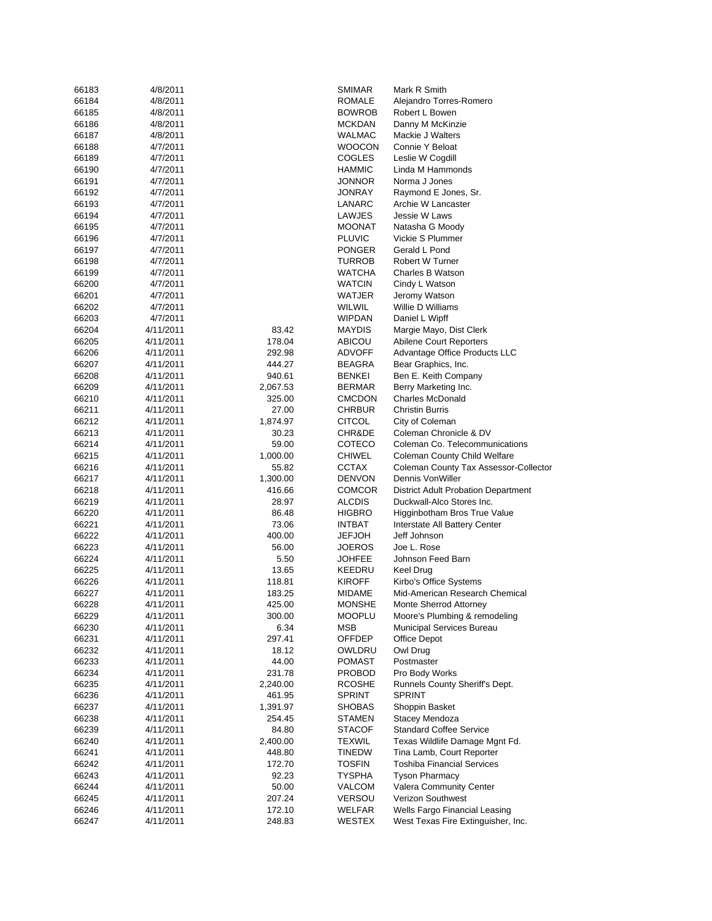| 66183          | 4/8/2011               |                    | SMIMAR                  | Mark R Smith                                                        |
|----------------|------------------------|--------------------|-------------------------|---------------------------------------------------------------------|
| 66184          | 4/8/2011               |                    | ROMALE                  | Alejandro Torres-Romero                                             |
| 66185          | 4/8/2011               |                    | <b>BOWROB</b>           | Robert L Bowen                                                      |
| 66186          | 4/8/2011               |                    | <b>MCKDAN</b>           | Danny M McKinzie                                                    |
| 66187          | 4/8/2011               |                    | WALMAC                  | Mackie J Walters                                                    |
| 66188          | 4/7/2011               |                    | <b>WOOCON</b>           | Connie Y Beloat                                                     |
| 66189          | 4/7/2011               |                    | COGLES                  | Leslie W Cogdill                                                    |
| 66190          | 4/7/2011               |                    | HAMMIC                  | Linda M Hammonds                                                    |
| 66191          | 4/7/2011               |                    | JONNOR                  | Norma J Jones                                                       |
| 66192          | 4/7/2011               |                    | JONRAY                  | Raymond E Jones, Sr.                                                |
| 66193          | 4/7/2011               |                    | LANARC                  | Archie W Lancaster                                                  |
| 66194          | 4/7/2011               |                    | LAWJES                  | Jessie W Laws                                                       |
| 66195          | 4/7/2011               |                    | MOONAT                  | Natasha G Moody                                                     |
| 66196          | 4/7/2011               |                    | <b>PLUVIC</b>           | Vickie S Plummer                                                    |
| 66197          | 4/7/2011               |                    | <b>PONGER</b>           | Gerald L Pond                                                       |
| 66198          | 4/7/2011               |                    | TURROB                  | Robert W Turner                                                     |
| 66199          | 4/7/2011               |                    | <b>WATCHA</b>           | Charles B Watson                                                    |
| 66200          | 4/7/2011               |                    | <b>WATCIN</b>           | Cindy L Watson                                                      |
| 66201          | 4/7/2011               |                    | WATJER                  | Jeromy Watson                                                       |
| 66202          | 4/7/2011               |                    | WILWIL                  | Willie D Williams                                                   |
| 66203          | 4/7/2011               |                    | <b>WIPDAN</b>           | Daniel L Wipff                                                      |
| 66204          | 4/11/2011              | 83.42              | <b>MAYDIS</b>           | Margie Mayo, Dist Clerk                                             |
| 66205          | 4/11/2011              | 178.04             | ABICOU                  | Abilene Court Reporters                                             |
| 66206          | 4/11/2011              | 292.98             | ADVOFF                  | Advantage Office Products LLC                                       |
| 66207          | 4/11/2011              | 444.27             | BEAGRA                  | Bear Graphics, Inc.                                                 |
| 66208          | 4/11/2011              | 940.61             | BENKEI                  | Ben E. Keith Company                                                |
| 66209          | 4/11/2011              | 2,067.53           | <b>BERMAR</b>           | Berry Marketing Inc.                                                |
| 66210          | 4/11/2011              | 325.00             | <b>CMCDON</b>           | <b>Charles McDonald</b>                                             |
| 66211          | 4/11/2011              | 27.00              | <b>CHRBUR</b>           | <b>Christin Burris</b>                                              |
| 66212          | 4/11/2011              | 1,874.97           | <b>CITCOL</b>           | City of Coleman                                                     |
| 66213          | 4/11/2011              | 30.23              | CHR&DE                  | Coleman Chronicle & DV                                              |
| 66214          | 4/11/2011              | 59.00              | COTECO                  | Coleman Co. Telecommunications                                      |
| 66215          | 4/11/2011              | 1,000.00           | CHIWEL                  | Coleman County Child Welfare                                        |
| 66216<br>66217 | 4/11/2011              | 55.82              | CCTAX                   | Coleman County Tax Assessor-Collector<br>Dennis VonWiller           |
|                | 4/11/2011<br>4/11/2011 | 1,300.00<br>416.66 | <b>DENVON</b><br>COMCOR | <b>District Adult Probation Department</b>                          |
| 66218          |                        |                    |                         |                                                                     |
|                |                        |                    |                         |                                                                     |
| 66219          | 4/11/2011              | 28.97              | <b>ALCDIS</b>           | Duckwall-Alco Stores Inc.                                           |
| 66220          | 4/11/2011              | 86.48              | <b>HIGBRO</b>           | Higginbotham Bros True Value                                        |
| 66221          | 4/11/2011              | 73.06              | <b>INTBAT</b>           | Interstate All Battery Center                                       |
| 66222          | 4/11/2011              | 400.00             | JEFJOH                  | Jeff Johnson                                                        |
| 66223          | 4/11/2011              | 56.00              | JOEROS                  | Joe L. Rose                                                         |
| 66224          | 4/11/2011              | 5.50               | JOHFEE                  | Johnson Feed Barn                                                   |
| 66225          | 4/11/2011              | 13.65              | KEEDRU                  | Keel Drug                                                           |
| 66226          | 4/11/2011              | 118.81             | KIROFF                  | Kirbo's Office Systems                                              |
| 66227          | 4/11/2011              | 183.25             | MIDAME                  | Mid-American Research Chemical                                      |
| 66228          | 4/11/2011              | 425.00             | <b>MONSHE</b>           | Monte Sherrod Attorney                                              |
| 66229          | 4/11/2011              | 300.00             | MOOPLU                  | Moore's Plumbing & remodeling                                       |
| 66230          | 4/11/2011              | 6.34               | MSB                     | Municipal Services Bureau                                           |
| 66231          | 4/11/2011              | 297.41             | <b>OFFDEP</b>           | Office Depot                                                        |
| 66232          | 4/11/2011              | 18.12              | OWLDRU                  | Owl Drug                                                            |
| 66233          | 4/11/2011<br>4/11/2011 | 44.00              | POMAST                  | Postmaster                                                          |
| 66234          |                        | 231.78<br>2,240.00 | PROBOD<br><b>RCOSHE</b> | Pro Body Works<br>Runnels County Sheriff's Dept.                    |
| 66235<br>66236 | 4/11/2011<br>4/11/2011 | 461.95             | SPRINT                  | <b>SPRINT</b>                                                       |
| 66237          | 4/11/2011              | 1,391.97           | SHOBAS                  | Shoppin Basket                                                      |
| 66238          | 4/11/2011              | 254.45             | STAMEN                  | Stacey Mendoza                                                      |
| 66239          | 4/11/2011              | 84.80              | STACOF                  | <b>Standard Coffee Service</b>                                      |
| 66240          | 4/11/2011              | 2,400.00           | TEXWIL                  | Texas Wildlife Damage Mgnt Fd.                                      |
| 66241          | 4/11/2011              | 448.80             | TINEDW                  | Tina Lamb, Court Reporter                                           |
| 66242          | 4/11/2011              | 172.70             | <b>TOSFIN</b>           | <b>Toshiba Financial Services</b>                                   |
| 66243          | 4/11/2011              | 92.23              | TYSPHA                  | <b>Tyson Pharmacy</b>                                               |
| 66244          | 4/11/2011              | 50.00              | VALCOM                  | Valera Community Center                                             |
| 66245          | 4/11/2011              | 207.24             | VERSOU                  | Verizon Southwest                                                   |
| 66246          | 4/11/2011              | 172.10             | WELFAR                  | Wells Fargo Financial Leasing<br>West Texas Fire Extinguisher, Inc. |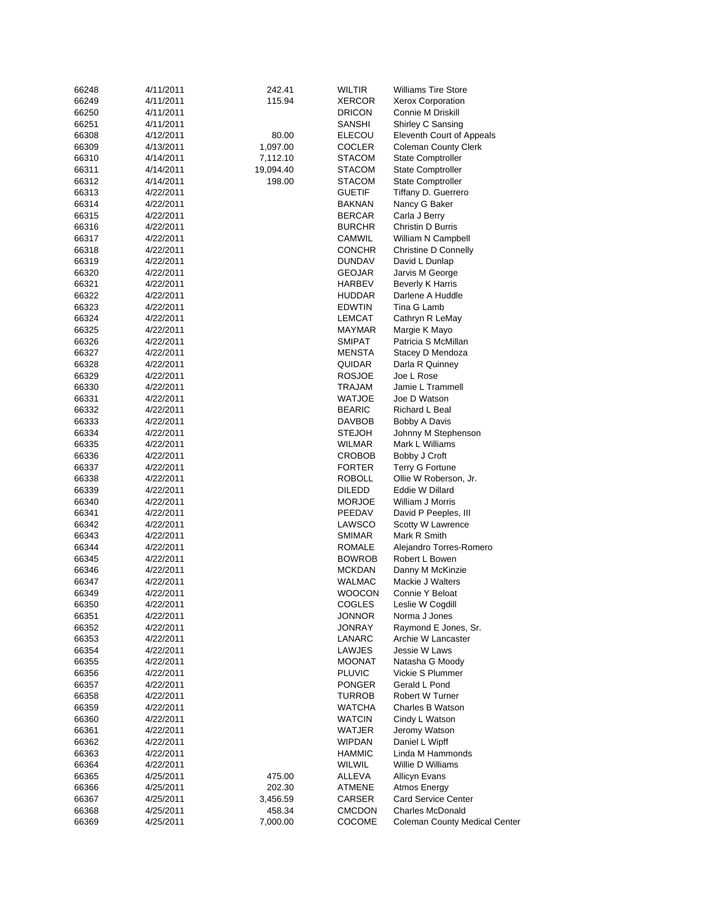| 66248 | 4/11/2011 | 242.41             | WILTIR        | <b>Williams Tire Store</b>           |
|-------|-----------|--------------------|---------------|--------------------------------------|
| 66249 | 4/11/2011 | 115.94             | XERCOR        | <b>Xerox Corporation</b>             |
| 66250 | 4/11/2011 |                    | <b>DRICON</b> | Connie M Driskill                    |
| 66251 | 4/11/2011 |                    | SANSHI        | Shirley C Sansing                    |
| 66308 | 4/12/2011 | 80.00              | ELECOU        | Eleventh Court of Appeals            |
| 66309 | 4/13/2011 | 1,097.00           | COCLER        | <b>Coleman County Clerk</b>          |
| 66310 | 4/14/2011 | 7,112.10           | <b>STACOM</b> | <b>State Comptroller</b>             |
| 66311 | 4/14/2011 | 19,094.40          | STACOM        | <b>State Comptroller</b>             |
|       |           |                    |               |                                      |
| 66312 | 4/14/2011 | 198.00             | STACOM        | <b>State Comptroller</b>             |
| 66313 | 4/22/2011 |                    | <b>GUETIF</b> | Tiffany D. Guerrero                  |
| 66314 | 4/22/2011 |                    | BAKNAN        | Nancy G Baker                        |
| 66315 | 4/22/2011 |                    | BERCAR        | Carla J Berry                        |
| 66316 | 4/22/2011 |                    | <b>BURCHR</b> | Christin D Burris                    |
| 66317 | 4/22/2011 |                    | CAMWIL        | William N Campbell                   |
| 66318 | 4/22/2011 |                    | <b>CONCHR</b> | Christine D Connelly                 |
| 66319 | 4/22/2011 |                    | DUNDAV        | David L Dunlap                       |
| 66320 | 4/22/2011 |                    | GEOJAR        | Jarvis M George                      |
| 66321 | 4/22/2011 |                    | HARBEV        | Beverly K Harris                     |
| 66322 | 4/22/2011 |                    | HUDDAR        | Darlene A Huddle                     |
| 66323 | 4/22/2011 |                    | <b>EDWTIN</b> | Tina G Lamb                          |
| 66324 | 4/22/2011 |                    | LEMCAT        | Cathryn R LeMay                      |
| 66325 | 4/22/2011 |                    | <b>MAYMAR</b> | Margie K Mayo                        |
| 66326 | 4/22/2011 |                    | <b>SMIPAT</b> | Patricia S McMillan                  |
| 66327 | 4/22/2011 |                    | MENSTA        | Stacey D Mendoza                     |
| 66328 | 4/22/2011 |                    | QUIDAR        | Darla R Quinney                      |
| 66329 | 4/22/2011 |                    | <b>ROSJOE</b> | Joe L Rose                           |
| 66330 | 4/22/2011 |                    | TRAJAM        | Jamie L Trammell                     |
|       | 4/22/2011 |                    | WATJOE        | Joe D Watson                         |
| 66331 |           |                    |               |                                      |
| 66332 | 4/22/2011 |                    | <b>BEARIC</b> | Richard L Beal                       |
| 66333 | 4/22/2011 |                    | DAVBOB        | Bobby A Davis                        |
| 66334 | 4/22/2011 |                    | STEJOH        | Johnny M Stephenson                  |
| 66335 | 4/22/2011 |                    | WILMAR        | Mark L Williams                      |
| 66336 | 4/22/2011 |                    | CROBOB        | Bobby J Croft                        |
| 66337 | 4/22/2011 |                    | <b>FORTER</b> | <b>Terry G Fortune</b>               |
| 66338 | 4/22/2011 |                    | <b>ROBOLL</b> | Ollie W Roberson, Jr.                |
| 66339 | 4/22/2011 |                    | DILEDD        | Eddie W Dillard                      |
| 66340 | 4/22/2011 |                    | <b>MORJOE</b> | William J Morris                     |
| 66341 | 4/22/2011 |                    | PEEDAV        | David P Peeples, III                 |
| 66342 | 4/22/2011 |                    | LAWSCO        | Scotty W Lawrence                    |
| 66343 | 4/22/2011 |                    | <b>SMIMAR</b> | Mark R Smith                         |
| 66344 | 4/22/2011 |                    | ROMALE        | Alejandro Torres-Romero              |
| 66345 | 4/22/2011 |                    | <b>BOWROB</b> | Robert L Bowen                       |
| 66346 | 4/22/2011 |                    | MCKDAN        | Danny M McKinzie                     |
| 66347 | 4/22/2011 |                    | WALMAC        | Mackie J Walters                     |
| 66349 | 4/22/2011 |                    | WOOCON        | Connie Y Beloat                      |
| 66350 | 4/22/2011 |                    | COGLES        | Leslie W Cogdill                     |
| 66351 | 4/22/2011 |                    | JONNOR        | Norma J Jones                        |
| 66352 | 4/22/2011 |                    | <b>JONRAY</b> | Raymond E Jones, Sr.                 |
| 66353 | 4/22/2011 |                    | LANARC        | Archie W Lancaster                   |
| 66354 | 4/22/2011 |                    | LAWJES        | Jessie W Laws                        |
| 66355 | 4/22/2011 |                    | MOONAT        | Natasha G Moody                      |
| 66356 | 4/22/2011 |                    | <b>PLUVIC</b> | Vickie S Plummer                     |
| 66357 | 4/22/2011 |                    | PONGER        | Gerald L Pond                        |
| 66358 | 4/22/2011 |                    | TURROB        | Robert W Turner                      |
| 66359 | 4/22/2011 |                    | <b>WATCHA</b> | Charles B Watson                     |
| 66360 | 4/22/2011 |                    | WATCIN        | Cindy L Watson                       |
| 66361 | 4/22/2011 |                    | WATJER        | Jeromy Watson                        |
| 66362 | 4/22/2011 |                    | WIPDAN        | Daniel L Wipff                       |
| 66363 | 4/22/2011 |                    | <b>HAMMIC</b> | Linda M Hammonds                     |
| 66364 | 4/22/2011 |                    | WILWIL        | Willie D Williams                    |
| 66365 | 4/25/2011 | 475.00             | ALLEVA        | <b>Allicyn Evans</b>                 |
| 66366 | 4/25/2011 | 202.30             | ATMENE        | Atmos Energy                         |
| 66367 |           |                    | CARSER        | <b>Card Service Center</b>           |
| 66368 | 4/25/2011 | 3,456.59<br>458.34 |               | <b>Charles McDonald</b>              |
| 66369 | 4/25/2011 |                    | <b>CMCDON</b> | <b>Coleman County Medical Center</b> |
|       | 4/25/2011 | 7,000.00           | COCOME        |                                      |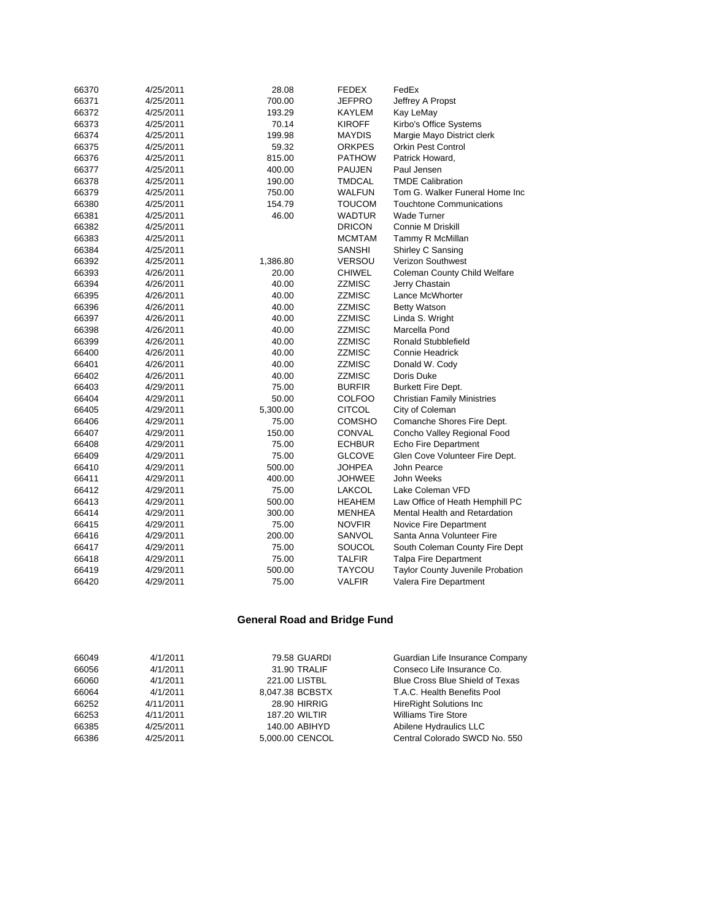| 66370 | 4/25/2011 | 28.08    | <b>FEDEX</b>  | FedEx                              |
|-------|-----------|----------|---------------|------------------------------------|
| 66371 | 4/25/2011 | 700.00   | JEFPRO        | Jeffrey A Propst                   |
| 66372 | 4/25/2011 | 193.29   | KAYLEM        | Kay LeMay                          |
| 66373 | 4/25/2011 | 70.14    | <b>KIROFF</b> | Kirbo's Office Systems             |
| 66374 | 4/25/2011 | 199.98   | <b>MAYDIS</b> | Margie Mayo District clerk         |
| 66375 | 4/25/2011 | 59.32    | <b>ORKPES</b> | <b>Orkin Pest Control</b>          |
| 66376 | 4/25/2011 | 815.00   | <b>PATHOW</b> | Patrick Howard.                    |
| 66377 | 4/25/2011 | 400.00   | <b>PAUJEN</b> | Paul Jensen                        |
| 66378 | 4/25/2011 | 190.00   | TMDCAL        | <b>TMDE Calibration</b>            |
| 66379 | 4/25/2011 | 750.00   | WALFUN        | Tom G. Walker Funeral Home Inc     |
| 66380 | 4/25/2011 | 154.79   | TOUCOM        | <b>Touchtone Communications</b>    |
| 66381 | 4/25/2011 | 46.00    | WADTUR        | <b>Wade Turner</b>                 |
| 66382 | 4/25/2011 |          | <b>DRICON</b> | <b>Connie M Driskill</b>           |
| 66383 | 4/25/2011 |          | <b>MCMTAM</b> | Tammy R McMillan                   |
| 66384 | 4/25/2011 |          | SANSHI        | Shirley C Sansing                  |
| 66392 | 4/25/2011 | 1,386.80 | <b>VERSOU</b> | Verizon Southwest                  |
| 66393 | 4/26/2011 | 20.00    | <b>CHIWEL</b> | Coleman County Child Welfare       |
| 66394 | 4/26/2011 | 40.00    | ZZMISC        | Jerry Chastain                     |
| 66395 | 4/26/2011 | 40.00    | ZZMISC        | Lance McWhorter                    |
| 66396 | 4/26/2011 | 40.00    | ZZMISC        | <b>Betty Watson</b>                |
| 66397 | 4/26/2011 | 40.00    | ZZMISC        | Linda S. Wright                    |
| 66398 | 4/26/2011 | 40.00    | ZZMISC        | Marcella Pond                      |
| 66399 | 4/26/2011 | 40.00    | ZZMISC        | Ronald Stubblefield                |
| 66400 | 4/26/2011 | 40.00    | <b>ZZMISC</b> | <b>Connie Headrick</b>             |
| 66401 | 4/26/2011 | 40.00    | ZZMISC        | Donald W. Cody                     |
| 66402 | 4/26/2011 | 40.00    | ZZMISC        | Doris Duke                         |
| 66403 | 4/29/2011 | 75.00    | <b>BURFIR</b> | Burkett Fire Dept.                 |
| 66404 | 4/29/2011 | 50.00    | COLFOO        | <b>Christian Family Ministries</b> |
| 66405 | 4/29/2011 | 5,300.00 | <b>CITCOL</b> | City of Coleman                    |
| 66406 | 4/29/2011 | 75.00    | <b>COMSHO</b> | Comanche Shores Fire Dept.         |
| 66407 | 4/29/2011 | 150.00   | CONVAL        | Concho Valley Regional Food        |
| 66408 | 4/29/2011 | 75.00    | <b>ECHBUR</b> | Echo Fire Department               |
| 66409 | 4/29/2011 | 75.00    | <b>GLCOVE</b> | Glen Cove Volunteer Fire Dept.     |
| 66410 | 4/29/2011 | 500.00   | JOHPEA        | John Pearce                        |
| 66411 | 4/29/2011 | 400.00   | <b>JOHWEE</b> | John Weeks                         |
| 66412 | 4/29/2011 | 75.00    | LAKCOL        | Lake Coleman VFD                   |
| 66413 | 4/29/2011 | 500.00   | <b>HEAHEM</b> | Law Office of Heath Hemphill PC    |
| 66414 | 4/29/2011 | 300.00   | <b>MENHEA</b> | Mental Health and Retardation      |
| 66415 | 4/29/2011 | 75.00    | <b>NOVFIR</b> | Novice Fire Department             |
| 66416 | 4/29/2011 | 200.00   | SANVOL        | Santa Anna Volunteer Fire          |
| 66417 | 4/29/2011 | 75.00    | SOUCOL        | South Coleman County Fire Dept     |
| 66418 | 4/29/2011 | 75.00    | <b>TALFIR</b> | <b>Talpa Fire Department</b>       |
| 66419 | 4/29/2011 | 500.00   | TAYCOU        | Taylor County Juvenile Probation   |
| 66420 | 4/29/2011 | 75.00    | <b>VALFIR</b> | Valera Fire Department             |

# **General Road and Bridge Fund**

| 66049 | 4/1/2011  | 79.58 GUARDI         | Guardian Life Insurance Company        |
|-------|-----------|----------------------|----------------------------------------|
| 66056 | 4/1/2011  | 31.90 TRALIF         | Conseco Life Insurance Co.             |
| 66060 | 4/1/2011  | 221.00 LISTBL        | <b>Blue Cross Blue Shield of Texas</b> |
| 66064 | 4/1/2011  | 8.047.38 BCBSTX      | T.A.C. Health Benefits Pool            |
| 66252 | 4/11/2011 | <b>28.90 HIRRIG</b>  | <b>HireRight Solutions Inc.</b>        |
| 66253 | 4/11/2011 | <b>187.20 WILTIR</b> | <b>Williams Tire Store</b>             |
| 66385 | 4/25/2011 | 140.00 ABIHYD        | Abilene Hydraulics LLC                 |
| 66386 | 4/25/2011 | 5.000.00 CENCOL      | Central Colorado SWCD No. 550          |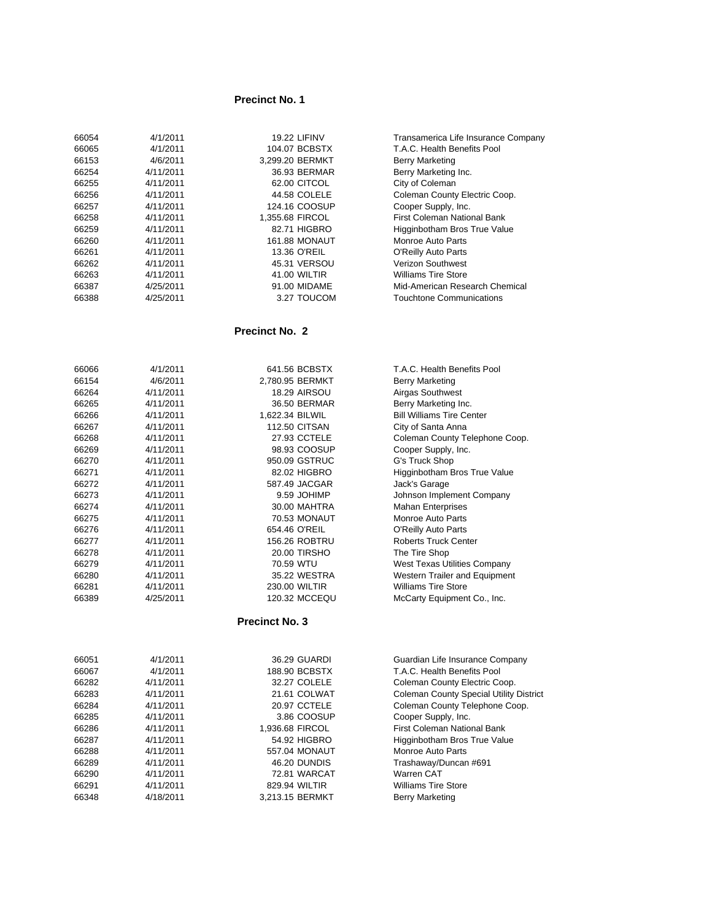### **Precinct No. 1**

| 66054 | 4/1/2011  | <b>19.22 LIFINV</b>  | Transamerica Life Insurance Company |
|-------|-----------|----------------------|-------------------------------------|
| 66065 | 4/1/2011  | 104.07 BCBSTX        | T.A.C. Health Benefits Pool         |
| 66153 | 4/6/2011  | 3.299.20 BERMKT      | <b>Berry Marketing</b>              |
| 66254 | 4/11/2011 | 36.93 BERMAR         | Berry Marketing Inc.                |
| 66255 | 4/11/2011 | 62.00 CITCOL         | City of Coleman                     |
| 66256 | 4/11/2011 | 44.58 COLELE         | Coleman County Electric Coop.       |
| 66257 | 4/11/2011 | 124.16 COOSUP        | Cooper Supply, Inc.                 |
| 66258 | 4/11/2011 | 1,355.68 FIRCOL      | First Coleman National Bank         |
| 66259 | 4/11/2011 | 82.71 HIGBRO         | Higginbotham Bros True Value        |
| 66260 | 4/11/2011 | <b>161.88 MONAUT</b> | Monroe Auto Parts                   |
| 66261 | 4/11/2011 | 13.36 O'REIL         | O'Reilly Auto Parts                 |
| 66262 | 4/11/2011 | 45.31 VERSOU         | Verizon Southwest                   |
| 66263 | 4/11/2011 | 41.00 WILTIR         | <b>Williams Tire Store</b>          |
| 66387 | 4/25/2011 | 91.00 MIDAME         | Mid-American Research Chemical      |
| 66388 | 4/25/2011 | 3.27 TOUCOM          | Touchtone Communications            |
|       |           |                      |                                     |

### **Precinct No. 2**

| 66066 | 4/1/2011  | 641.56 BCBSTX        | T.A.C. Health Benefits Pool      |
|-------|-----------|----------------------|----------------------------------|
| 66154 | 4/6/2011  | 2,780.95 BERMKT      | <b>Berry Marketing</b>           |
| 66264 | 4/11/2011 | <b>18.29 AIRSOU</b>  | Airgas Southwest                 |
| 66265 | 4/11/2011 | 36.50 BERMAR         | Berry Marketing Inc.             |
| 66266 | 4/11/2011 | 1,622.34 BILWIL      | <b>Bill Williams Tire Center</b> |
| 66267 | 4/11/2011 | <b>112.50 CITSAN</b> | City of Santa Anna               |
| 66268 | 4/11/2011 | 27.93 CCTELE         | Coleman County Telephone Coop.   |
| 66269 | 4/11/2011 | 98.93 COOSUP         | Cooper Supply, Inc.              |
| 66270 | 4/11/2011 | 950.09 GSTRUC        | G's Truck Shop                   |
| 66271 | 4/11/2011 | 82.02 HIGBRO         | Higginbotham Bros True Value     |
| 66272 | 4/11/2011 | 587.49 JACGAR        | Jack's Garage                    |
| 66273 | 4/11/2011 | 9.59 JOHIMP          | Johnson Implement Company        |
| 66274 | 4/11/2011 | 30.00 MAHTRA         | <b>Mahan Enterprises</b>         |
| 66275 | 4/11/2011 | 70.53 MONAUT         | Monroe Auto Parts                |
| 66276 | 4/11/2011 | 654.46 O'REIL        | <b>O'Reilly Auto Parts</b>       |
| 66277 | 4/11/2011 | 156.26 ROBTRU        | <b>Roberts Truck Center</b>      |
| 66278 | 4/11/2011 | <b>20.00 TIRSHO</b>  | The Tire Shop                    |
| 66279 | 4/11/2011 | 70.59 WTU            | West Texas Utilities Company     |
| 66280 | 4/11/2011 | 35.22 WESTRA         | Western Trailer and Equipment    |
| 66281 | 4/11/2011 | 230.00 WILTIR        | <b>Williams Tire Store</b>       |
| 66389 | 4/25/2011 | 120.32 MCCEQU        | McCarty Equipment Co., Inc.      |
|       |           |                      |                                  |

## **Precinct No. 3**

| 66051 | 4/1/2011  | 36.29 GUARDI    | Guardian Life Insurance Company                |
|-------|-----------|-----------------|------------------------------------------------|
| 66067 | 4/1/2011  | 188.90 BCBSTX   | T.A.C. Health Benefits Pool                    |
| 66282 | 4/11/2011 | 32.27 COLELE    | Coleman County Electric Coop.                  |
| 66283 | 4/11/2011 | 21.61 COLWAT    | <b>Coleman County Special Utility District</b> |
| 66284 | 4/11/2011 | 20.97 CCTELE    | Coleman County Telephone Coop.                 |
| 66285 | 4/11/2011 | 3.86 COOSUP     | Cooper Supply, Inc.                            |
| 66286 | 4/11/2011 | 1,936.68 FIRCOL | First Coleman National Bank                    |
| 66287 | 4/11/2011 | 54.92 HIGBRO    | Higginbotham Bros True Value                   |
| 66288 | 4/11/2011 | 557.04 MONAUT   | Monroe Auto Parts                              |
| 66289 | 4/11/2011 | 46.20 DUNDIS    | Trashaway/Duncan #691                          |
| 66290 | 4/11/2011 | 72.81 WARCAT    | Warren CAT                                     |
| 66291 | 4/11/2011 | 829.94 WILTIR   | <b>Williams Tire Store</b>                     |
| 66348 | 4/18/2011 | 3.213.15 BERMKT | <b>Berry Marketing</b>                         |
|       |           |                 |                                                |